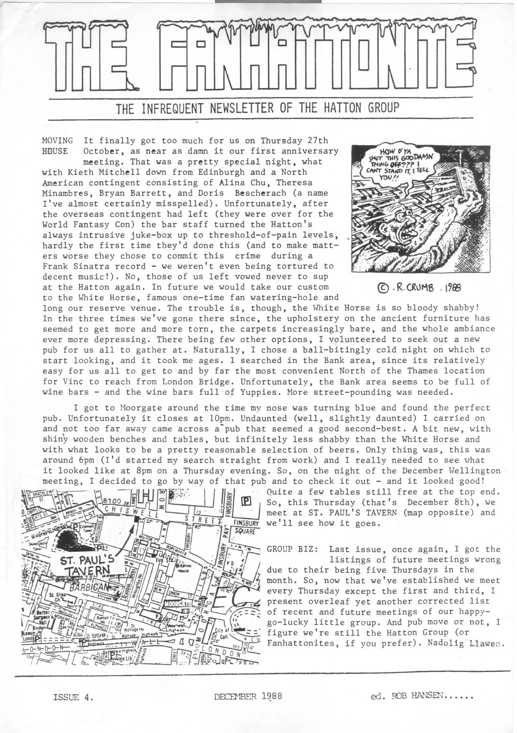

MOVING It finally got too much for us on Thursday 27th HOUSE October, as near as damn it our first anniversary

meeting. That was a pretty special night, what with Kieth Mitchell down from Edinburgh and a North American contingent consisting of Alina Chu, Theresa Minambres, Bryan Barrett, and Doris Bescherach (a name I've almost certainly misspelled). Unfortunately, after the overseas contingent had left (they were over for the World Fantasy Con) the bar staff turned the Hatton's always intrusive juke-box up to threshold-of-pain levels, hardly the first time they'd done this (and to make matters worse they chose to commit this crime during a Frank Sinatra record - we weren't even being tortured to decent music!). No, those of us left vowed never to sup at the Hatton again. In future we would take our custom to the White Horse, famous one-time fan watering-hole and



©.R.CRUHB .19®

long our reserve venue. The trouble is, though, the White Horse is so bloody shabby! In the three times we've gone there since, the upholstery on the ancient furniture has seemed to get more and more torn, the carpets increasingly bare, and the whole ambiance ever more depressing. There being few other options, I volunteered to seek out a new pub for us all to gather at. Naturally, I chose a ball-bitingly cold night on which to start looking, and it took me ages. I searched in the Bank area, since its relatively easy for us all to get to and by far the most convenient North of the Thames location for Vine to reach from London Bridge. Unfortunately, the Bank area seems to be full of wine bars - and the wine bars full of Yuppies. More street-pounding was needed.

I got to Moorgate around the time my nose was turning blue and found the perfect pub. Unfortunately it closes at 10pm. Undaunted (well, slightly daunted) I carried on and not too far away came across a'pub that seemed a good second-best. A bit new, with shiny wooden benches and tables, but infinitely less shabby than the White Horse and with what looks to be a pretty reasonable selection of beers. Only thing was, this was around 6pm (I'd started my search straight from work) and I really needed to see what it looked like at 8pm on a Thursday evening. So, on the night of the December Wellington meeting, I decided to go by way of that pub and to check it out - and it looked good!



Quite a few tables still free at the top end. So, this Thursday (that's December 8th), we meet at ST. PAUL'S TAVERN (map opposite) and FINSBURY we'll see how it goes.

> GROUP BIZ: Last issue, once again, I got the listings of future meetings wrong due to their being five Thursdays in the month. So, now that we've established we meet every Thursday except the first and third, I present overleaf yet another corrected list of recent and future meetings of our happygo-lucky little group. And pub move or not, <sup>I</sup> figure we're still the Hatton Group (or Fanhattonites, if you prefer). Nadolig Llawen.